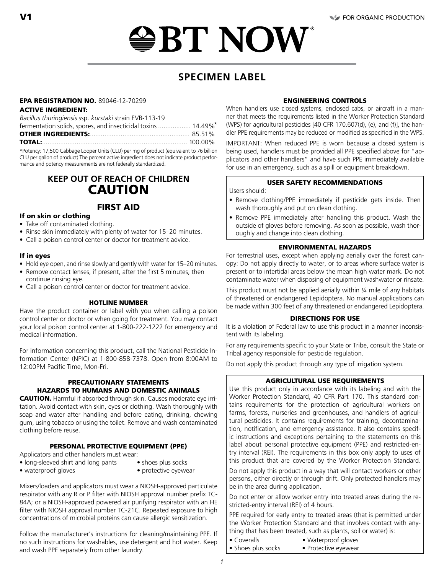# *ఆBT NOW*

# **SPECIMEN LABEL**

#### EPA REGISTRATION NO. 89046-12-70299

#### ACTIVE INGREDIENT:

Bacillus thuringiensis ssp. kurstaki strain EVB-113-19

| fermentation solids, spores, and insecticidal toxins  14.49%* |  |
|---------------------------------------------------------------|--|
|                                                               |  |
|                                                               |  |

\*Potency: 17,500 Cabbage Looper Units (CLU) per mg of product (equivalent to 76 billion CLU per gallon of product) The percent active ingredient does not indicate product performance and potency measurements are not federally standardized.

# **KEEP OUT OF REACH OF CHILDREN** CAUTION

## FIRST AID

#### If on skin or clothing

- Take off contaminated clothing.
- Rinse skin immediately with plenty of water for 15–20 minutes.
- Call a poison control center or doctor for treatment advice.

#### If in eyes

- Hold eye open, and rinse slowly and gently with water for 15–20 minutes.
- Remove contact lenses, if present, after the first 5 minutes, then continue rinsing eye.
- Call a poison control center or doctor for treatment advice.

#### HOTLINE NUMBER

Have the product container or label with you when calling a poison control center or doctor or when going for treatment. You may contact your local poison control center at 1-800-222-1222 for emergency and medical information.

For information concerning this product, call the National Pesticide Information Center (NPIC) at 1-800-858-7378. Open from 8:00AM to 12:00PM Pacific Time, Mon-Fri.

#### PRECAUTIONARY STATEMENTS HAZARDS TO HUMANS AND DOMESTIC ANIMALS

CAUTION. Harmful if absorbed through skin. Causes moderate eye irritation. Avoid contact with skin, eyes or clothing. Wash thoroughly with soap and water after handling and before eating, drinking, chewing gum, using tobacco or using the toilet. Remove and wash contaminated clothing before reuse.

#### PERSONAL PROTECTIVE EQUIPMENT (PPE)

Applicators and other handlers must wear:

- long-sleeved shirt and long pants shoes plus socks<br>• waterproof gloves protective eyewe
	-
- 
- $\bullet$  protective eyewear

Mixers/loaders and applicators must wear a NIOSH-approved particulate respirator with any R or P filter with NIOSH approval number prefix TC-84A; or a NIOSH-approved powered air purifying respirator with an HE filter with NIOSH approval number TC-21C. Repeated exposure to high concentrations of microbial proteins can cause allergic sensitization.

Follow the manufacturer's instructions for cleaning/maintaining PPE. If no such instructions for washables, use detergent and hot water. Keep and wash PPE separately from other laundry.

#### ENGINEERING CONTROLS

When handlers use closed systems, enclosed cabs, or aircraft in a manner that meets the requirements listed in the Worker Protection Standard (WPS) for agricultural pesticides [40 CFR 170.607(d), (e), and (f)], the handler PPE requirements may be reduced or modified as specified in the WPS.

IMPORTANT: When reduced PPE is worn because a closed system is being used, handlers must be provided all PPE specified above for "applicators and other handlers" and have such PPE immediately available for use in an emergency, such as a spill or equipment breakdown.

#### USER SAFETY RECOMMENDATIONS

Users should:

- Remove clothing/PPE immediately if pesticide gets inside. Then wash thoroughly and put on clean clothing.
- Remove PPE immediately after handling this product. Wash the outside of gloves before removing. As soon as possible, wash thoroughly and change into clean clothing.

#### ENVIRONMENTAL HAZARDS

For terrestrial uses, except when applying aerially over the forest canopy: Do not apply directly to water, or to areas where surface water is present or to intertidal areas below the mean high water mark. Do not contaminate water when disposing of equipment washwater or rinsate.

This product must not be applied aerially within 1/4 mile of any habitats of threatened or endangered Lepidoptera. No manual applications can be made within 300 feet of any threatened or endangered Lepidoptera.

#### DIRECTIONS FOR USE

It is a violation of Federal law to use this product in a manner inconsistent with its labeling.

For any requirements specific to your State or Tribe, consult the State or Tribal agency responsible for pesticide regulation.

Do not apply this product through any type of irrigation system.

#### AGRICULTURAL USE REQUIREMENTS

Use this product only in accordance with its labeling and with the Worker Protection Standard, 40 CFR Part 170. This standard contains requirements for the protection of agricultural workers on farms, forests, nurseries and greenhouses, and handlers of agricultural pesticides. It contains requirements for training, decontamination, notification, and emergency assistance. It also contains specific instructions and exceptions pertaining to the statements on this label about personal protective equipment (PPE) and restricted-entry interval (REI). The requirements in this box only apply to uses of this product that are covered by the Worker Protection Standard.

Do not apply this product in a way that will contact workers or other persons, either directly or through drift. Only protected handlers may be in the area during application.

Do not enter or allow worker entry into treated areas during the restricted-entry interval (REI) of 4 hours.

PPE required for early entry to treated areas (that is permitted under the Worker Protection Standard and that involves contact with anything that has been treated, such as plants, soil or water) is:

- 
- Coveralls Waterproof gloves
- Shoes plus socks Protective eyewear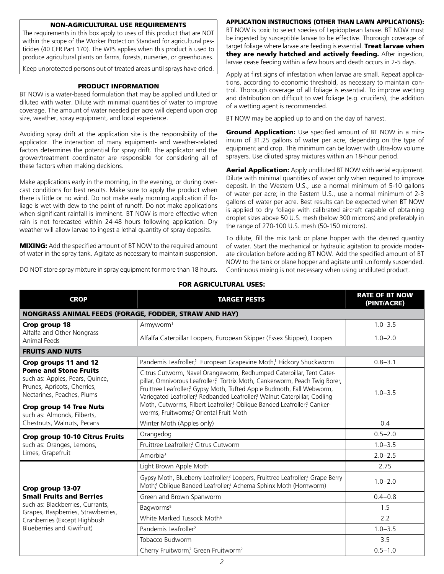#### NON-AGRICULTURAL USE REQUIREMENTS

The requirements in this box apply to uses of this product that are NOT within the scope of the Worker Protection Standard for agricultural pesticides (40 CFR Part 170). The WPS applies when this product is used to produce agricultural plants on farms, forests, nurseries, or greenhouses.

Keep unprotected persons out of treated areas until sprays have dried.

#### PRODUCT INFORMATION

BT NOW is a water-based formulation that may be applied undiluted or diluted with water. Dilute with minimal quantities of water to improve coverage. The amount of water needed per acre will depend upon crop size, weather, spray equipment, and local experience.

Avoiding spray drift at the application site is the responsibility of the applicator. The interaction of many equipment- and weather-related factors determines the potential for spray drift. The applicator and the grower/treatment coordinator are responsible for considering all of these factors when making decisions.

Make applications early in the morning, in the evening, or during overcast conditions for best results. Make sure to apply the product when there is little or no wind. Do not make early morning application if foliage is wet with dew to the point of runoff. Do not make applications when significant rainfall is imminent. BT NOW is more effective when rain is not forecasted within 24-48 hours following application. Dry weather will allow larvae to ingest a lethal quantity of spray deposits.

**MIXING:** Add the specified amount of BT NOW to the required amount of water in the spray tank. Agitate as necessary to maintain suspension.

DO NOT store spray mixture in spray equipment for more than 18 hours.

APPLICATION INSTRUCTIONS (OTHER THAN LAWN APPLICATIONS):

BT NOW is toxic to select species of Lepidopteran larvae. BT NOW must be ingested by susceptible larvae to be effective. Thorough coverage of target foliage where larvae are feeding is essential. Treat larvae when they are newly hatched and actively feeding. After ingestion, larvae cease feeding within a few hours and death occurs in 2-5 days.

Apply at first signs of infestation when larvae are small. Repeat applications, according to economic threshold, as necessary to maintain control. Thorough coverage of all foliage is essential. To improve wetting and distribution on difficult to wet foliage (e.g. crucifers), the addition of a wetting agent is recommended.

BT NOW may be applied up to and on the day of harvest.

Ground Application: Use specified amount of BT NOW in a minimum of 31.25 gallons of water per acre, depending on the type of equipment and crop. This minimum can be lower with ultra-low volume sprayers. Use diluted spray mixtures within an 18-hour period.

**Aerial Application:** Apply undiluted BT NOW with aerial equipment. Dilute with minimal quantities of water only when required to improve deposit. In the Western U.S., use a normal minimum of 5-10 gallons of water per acre; in the Eastern U.S., use a normal minimum of 2-3 gallons of water per acre. Best results can be expected when BT NOW is applied to dry foliage with calibrated aircraft capable of obtaining droplet sizes above 50 U.S. mesh (below 300 microns) and preferably in the range of 270-100 U.S. mesh (50-150 microns).

To dilute, fill the mix tank or plane hopper with the desired quantity of water. Start the mechanical or hydraulic agitation to provide moderate circulation before adding BT NOW. Add the specified amount of BT NOW to the tank or plane hopper and agitate until uniformly suspended. Continuous mixing is not necessary when using undiluted product.

| <u>FUN AUNILULIUNAL UJEJ.</u>                                                                                                                                                                                                                        |                                                                                                                                                                                                                                                                                                                                                                                   |                                      |
|------------------------------------------------------------------------------------------------------------------------------------------------------------------------------------------------------------------------------------------------------|-----------------------------------------------------------------------------------------------------------------------------------------------------------------------------------------------------------------------------------------------------------------------------------------------------------------------------------------------------------------------------------|--------------------------------------|
| <b>CROP</b>                                                                                                                                                                                                                                          | <b>TARGET PESTS</b>                                                                                                                                                                                                                                                                                                                                                               | <b>RATE OF BT NOW</b><br>(PINT/ACRE) |
| <b>NONGRASS ANIMAL FEEDS (FORAGE, FODDER, STRAW AND HAY)</b>                                                                                                                                                                                         |                                                                                                                                                                                                                                                                                                                                                                                   |                                      |
| Crop group 18<br>Alfalfa and Other Nongrass<br>Animal Feeds                                                                                                                                                                                          | Armyworm <sup>1</sup>                                                                                                                                                                                                                                                                                                                                                             | $1.0 - 3.5$                          |
|                                                                                                                                                                                                                                                      | Alfalfa Caterpillar Loopers, European Skipper (Essex Skipper), Loopers                                                                                                                                                                                                                                                                                                            | $1.0 - 2.0$                          |
| <b>FRUITS AND NUTS</b>                                                                                                                                                                                                                               |                                                                                                                                                                                                                                                                                                                                                                                   |                                      |
| Crop groups 11 and 12<br><b>Pome and Stone Fruits</b><br>such as: Apples, Pears, Quince,<br>Prunes, Apricots, Cherries,<br>Nectarines, Peaches, Plums<br><b>Crop group 14 Tree Nuts</b><br>such as: Almonds, Filberts,<br>Chestnuts, Walnuts, Pecans | Pandemis Leafroller? European Grapevine Moth! Hickory Shuckworm                                                                                                                                                                                                                                                                                                                   | $0.8 - 3.1$                          |
|                                                                                                                                                                                                                                                      | Citrus Cutworm, Navel Orangeworm, Redhumped Caterpillar, Tent Cater-<br>pillar, Omnivorous Leafroller? Tortrix Moth, Cankerworm, Peach Twig Borer,<br>Fruittree Leafroller? Gypsy Moth, Tufted Apple Budmoth, Fall Webworm,<br>Variegated Leafroller? Redbanded Leafroller? Walnut Caterpillar, Codling<br>Moth, Cutworms, Filbert Leafroller? Oblique Banded Leafroller? Canker- | $1.0 - 3.5$                          |
|                                                                                                                                                                                                                                                      | worms, Fruitworms? Oriental Fruit Moth                                                                                                                                                                                                                                                                                                                                            |                                      |
|                                                                                                                                                                                                                                                      | Winter Moth (Apples only)                                                                                                                                                                                                                                                                                                                                                         | 0.4                                  |
| <b>Crop group 10-10 Citrus Fruits</b><br>such as: Oranges, Lemons,<br>Limes, Grapefruit                                                                                                                                                              | Orangedog                                                                                                                                                                                                                                                                                                                                                                         | $0.5 - 2.0$                          |
|                                                                                                                                                                                                                                                      | Fruittree Leafroller? Citrus Cutworm                                                                                                                                                                                                                                                                                                                                              | $1.0 - 3.5$                          |
|                                                                                                                                                                                                                                                      | Amorbia <sup>3</sup>                                                                                                                                                                                                                                                                                                                                                              | $2.0 - 2.5$                          |
| Crop group 13-07<br><b>Small Fruits and Berries</b><br>such as: Blackberries, Currants,<br>Grapes, Raspberries, Strawberries,<br>Cranberries (Except Highbush<br>Blueberries and Kiwifruit)                                                          | Light Brown Apple Moth                                                                                                                                                                                                                                                                                                                                                            | 2.75                                 |
|                                                                                                                                                                                                                                                      | Gypsy Moth, Blueberry Leafroller? Loopers, Fruittree Leafroller? Grape Berry<br>Moth, <sup>4</sup> Oblique Banded Leafroller, <sup>2</sup> Achema Sphinx Moth (Hornworm)                                                                                                                                                                                                          | $1.0 - 2.0$                          |
|                                                                                                                                                                                                                                                      | Green and Brown Spanworm                                                                                                                                                                                                                                                                                                                                                          | $0.4 - 0.8$                          |
|                                                                                                                                                                                                                                                      | Bagworms <sup>5</sup>                                                                                                                                                                                                                                                                                                                                                             | 1.5                                  |
|                                                                                                                                                                                                                                                      | White Marked Tussock Moth <sup>6</sup>                                                                                                                                                                                                                                                                                                                                            | 2.2                                  |
|                                                                                                                                                                                                                                                      | Pandemis Leafroller <sup>2</sup>                                                                                                                                                                                                                                                                                                                                                  | $1.0 - 3.5$                          |
|                                                                                                                                                                                                                                                      | Tobacco Budworm                                                                                                                                                                                                                                                                                                                                                                   | 3.5                                  |
|                                                                                                                                                                                                                                                      | Cherry Fruitworm? Green Fruitworm <sup>2</sup>                                                                                                                                                                                                                                                                                                                                    | $0.5 - 1.0$                          |

## FOR AGRICULTURAL USES: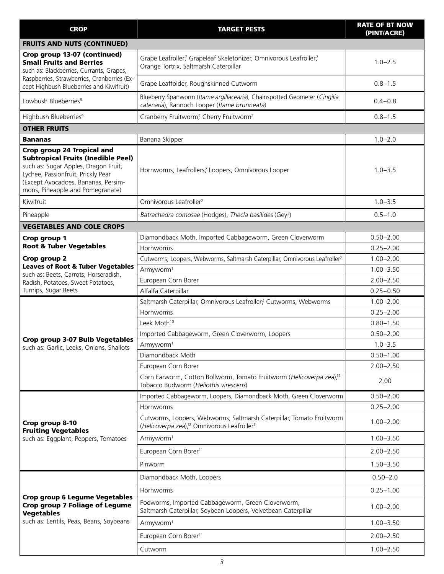| <b>CROP</b>                                                                                                                                                                                                                             | <b>TARGET PESTS</b>                                                                                                                         | <b>RATE OF BT NOW</b><br>(PINT/ACRE) |
|-----------------------------------------------------------------------------------------------------------------------------------------------------------------------------------------------------------------------------------------|---------------------------------------------------------------------------------------------------------------------------------------------|--------------------------------------|
| <b>FRUITS AND NUTS (CONTINUED)</b>                                                                                                                                                                                                      |                                                                                                                                             |                                      |
| Crop group 13-07 (continued)<br><b>Small Fruits and Berries</b><br>such as: Blackberries, Currants, Grapes,                                                                                                                             | Grape Leafroller, Grapeleaf Skeletonizer, Omnivorous Leafroller?<br>Orange Tortrix, Saltmarsh Caterpillar                                   | $1.0 - 2.5$                          |
| Raspberries, Strawberries, Cranberries (Ex-<br>cept Highbush Blueberries and Kiwifruit)                                                                                                                                                 | Grape Leaffolder, Roughskinned Cutworm                                                                                                      | $0.8 - 1.5$                          |
| Lowbush Blueberries <sup>8</sup>                                                                                                                                                                                                        | Blueberry Spanworm (Itame argillacearia), Chainspotted Geometer (Cingilia<br>catenaria), Rannoch Looper (Itame brunneata)                   | $0.4 - 0.8$                          |
| Highbush Blueberries <sup>9</sup>                                                                                                                                                                                                       | Cranberry Fruitworm, Cherry Fruitworm <sup>2</sup>                                                                                          | $0.8 - 1.5$                          |
| <b>OTHER FRUITS</b>                                                                                                                                                                                                                     |                                                                                                                                             |                                      |
| Bananas                                                                                                                                                                                                                                 | Banana Skipper                                                                                                                              | $1.0 - 2.0$                          |
| <b>Crop group 24 Tropical and</b><br><b>Subtropical Fruits (Inedible Peel)</b><br>such as: Sugar Apples, Dragon Fruit,<br>Lychee, Passionfruit, Prickly Pear<br>(Except Avocadoes, Bananas, Persim-<br>mons, Pineapple and Pomegranate) | Hornworms, Leafrollers? Loopers, Omnivorous Looper                                                                                          | $1.0 - 3.5$                          |
| Kiwifruit                                                                                                                                                                                                                               | Omnivorous Leafroller <sup>2</sup>                                                                                                          | $1.0 - 3.5$                          |
| Pineapple                                                                                                                                                                                                                               | Batrachedra comosae (Hodges), Thecla basilides (Geyr)                                                                                       | $0.5 - 1.0$                          |
| <b>VEGETABLES AND COLE CROPS</b>                                                                                                                                                                                                        |                                                                                                                                             |                                      |
| Crop group 1                                                                                                                                                                                                                            | Diamondback Moth, Imported Cabbageworm, Green Cloverworm                                                                                    | $0.50 - 2.00$                        |
| <b>Root &amp; Tuber Vegetables</b>                                                                                                                                                                                                      | Hornworms                                                                                                                                   | $0.25 - 2.00$                        |
| Crop group 2                                                                                                                                                                                                                            | Cutworms, Loopers, Webworms, Saltmarsh Caterpillar, Omnivorous Leafroller <sup>2</sup>                                                      | $1.00 - 2.00$                        |
| <b>Leaves of Root &amp; Tuber Vegetables</b>                                                                                                                                                                                            | Armyworm <sup>1</sup>                                                                                                                       | $1.00 - 3.50$                        |
| such as: Beets, Carrots, Horseradish,<br>Radish, Potatoes, Sweet Potatoes,                                                                                                                                                              | European Corn Borer                                                                                                                         | $2.00 - 2.50$                        |
| Turnips, Sugar Beets                                                                                                                                                                                                                    | Alfalfa Caterpillar                                                                                                                         | $0.25 - 0.50$                        |
|                                                                                                                                                                                                                                         | Saltmarsh Caterpillar, Omnivorous Leafroller? Cutworms, Webworms                                                                            | $1.00 - 2.00$                        |
|                                                                                                                                                                                                                                         | Hornworms                                                                                                                                   | $0.25 - 2.00$                        |
|                                                                                                                                                                                                                                         | Leek Moth <sup>10</sup>                                                                                                                     | $0.80 - 1.50$                        |
| Crop group 3-07 Bulb Vegetables                                                                                                                                                                                                         | Imported Cabbageworm, Green Cloverworm, Loopers                                                                                             | $0.50 - 2.00$                        |
| such as: Garlic, Leeks, Onions, Shallots                                                                                                                                                                                                | Armyworm <sup>1</sup>                                                                                                                       | $1.0 - 3.5$                          |
|                                                                                                                                                                                                                                         | Diamondback Moth                                                                                                                            | $0.50 - 1.00$                        |
|                                                                                                                                                                                                                                         | European Corn Borer                                                                                                                         | $2.00 - 2.50$                        |
|                                                                                                                                                                                                                                         | Corn Earworm, Cotton Bollworm, Tomato Fruitworm (Helicoverpa zea), <sup>12</sup><br>Tobacco Budworm (Heliothis virescens)                   | 2.00                                 |
|                                                                                                                                                                                                                                         | Imported Cabbageworm, Loopers, Diamondback Moth, Green Cloverworm                                                                           | $0.50 - 2.00$                        |
|                                                                                                                                                                                                                                         | <b>Hornworms</b>                                                                                                                            | $0.25 - 2.00$                        |
| Crop group 8-10<br><b>Fruiting Vegetables</b>                                                                                                                                                                                           | Cutworms, Loopers, Webworms, Saltmarsh Caterpillar, Tomato Fruitworm<br>(Helicoverpa zea), <sup>12</sup> Omnivorous Leafroller <sup>2</sup> | $1.00 - 2.00$                        |
| such as: Eggplant, Peppers, Tomatoes                                                                                                                                                                                                    | Armyworm <sup>1</sup>                                                                                                                       | $1.00 - 3.50$                        |
|                                                                                                                                                                                                                                         | European Corn Borer <sup>11</sup>                                                                                                           | $2.00 - 2.50$                        |
|                                                                                                                                                                                                                                         | Pinworm                                                                                                                                     | $1.50 - 3.50$                        |
|                                                                                                                                                                                                                                         | Diamondback Moth, Loopers                                                                                                                   | $0.50 - 2.0$                         |
|                                                                                                                                                                                                                                         | Hornworms                                                                                                                                   | $0.25 - 1.00$                        |
| <b>Crop group 6 Legume Vegetables</b><br><b>Crop group 7 Foliage of Legume</b><br><b>Vegetables</b><br>such as: Lentils, Peas, Beans, Soybeans                                                                                          | Podworms, Imported Cabbageworm, Green Cloverworm,<br>Saltmarsh Caterpillar, Soybean Loopers, Velvetbean Caterpillar                         | $1.00 - 2.00$                        |
|                                                                                                                                                                                                                                         | Armyworm <sup>1</sup>                                                                                                                       | $1.00 - 3.50$                        |
|                                                                                                                                                                                                                                         | European Corn Borer <sup>11</sup>                                                                                                           | $2.00 - 2.50$                        |
|                                                                                                                                                                                                                                         | Cutworm                                                                                                                                     | $1.00 - 2.50$                        |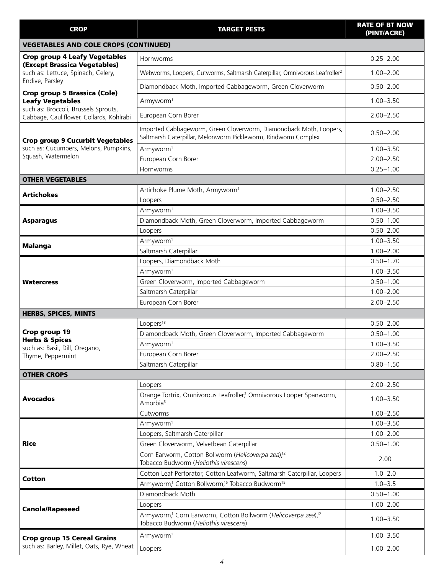| <b>CROP</b>                                                                      | <b>TARGET PESTS</b>                                                                                                                 | <b>RATE OF BT NOW</b><br>(PINT/ACRE) |
|----------------------------------------------------------------------------------|-------------------------------------------------------------------------------------------------------------------------------------|--------------------------------------|
| <b>VEGETABLES AND COLE CROPS (CONTINUED)</b>                                     |                                                                                                                                     |                                      |
| <b>Crop group 4 Leafy Vegetables</b><br>(Except Brassica Vegetables)             | Hornworms                                                                                                                           | $0.25 - 2.00$                        |
| such as: Lettuce, Spinach, Celery,                                               | Webworms, Loopers, Cutworms, Saltmarsh Caterpillar, Omnivorous Leafroller <sup>2</sup>                                              | $1.00 - 2.00$                        |
| Endive, Parsley<br>Crop group 5 Brassica (Cole)                                  | Diamondback Moth, Imported Cabbageworm, Green Cloverworm                                                                            | $0.50 - 2.00$                        |
| <b>Leafy Vegetables</b>                                                          | Armyworm <sup>1</sup>                                                                                                               | $1.00 - 3.50$                        |
| such as: Broccoli, Brussels Sprouts,<br>Cabbage, Cauliflower, Collards, Kohlrabi | European Corn Borer                                                                                                                 | $2.00 - 2.50$                        |
| <b>Crop group 9 Cucurbit Vegetables</b>                                          | Imported Cabbageworm, Green Cloverworm, Diamondback Moth, Loopers,<br>Saltmarsh Caterpillar, Melonworm Pickleworm, Rindworm Complex | $0.50 - 2.00$                        |
| such as: Cucumbers, Melons, Pumpkins,                                            | Armyworm <sup>1</sup>                                                                                                               | $1.00 - 3.50$                        |
| Squash, Watermelon                                                               | European Corn Borer                                                                                                                 | $2.00 - 2.50$                        |
|                                                                                  | <b>Hornworms</b>                                                                                                                    | $0.25 - 1.00$                        |
| <b>OTHER VEGETABLES</b>                                                          |                                                                                                                                     |                                      |
| <b>Artichokes</b>                                                                | Artichoke Plume Moth, Armyworm <sup>1</sup>                                                                                         | $1.00 - 2.50$                        |
|                                                                                  | Loopers                                                                                                                             | $0.50 - 2.50$                        |
|                                                                                  | Armyworm <sup>1</sup>                                                                                                               | $1.00 - 3.50$                        |
| <b>Asparagus</b>                                                                 | Diamondback Moth, Green Cloverworm, Imported Cabbageworm                                                                            | $0.50 - 1.00$                        |
|                                                                                  | Loopers                                                                                                                             | $0.50 - 2.00$                        |
| <b>Malanga</b>                                                                   | Armyworm <sup>1</sup>                                                                                                               | $1.00 - 3.50$                        |
|                                                                                  | Saltmarsh Caterpillar                                                                                                               | $1.00 - 2.00$                        |
|                                                                                  | Loopers, Diamondback Moth                                                                                                           | $0.50 - 1.70$                        |
|                                                                                  | Armyworm <sup>1</sup>                                                                                                               | $1.00 - 3.50$                        |
| <b>Watercress</b>                                                                | Green Cloverworm, Imported Cabbageworm                                                                                              | $0.50 - 1.00$                        |
|                                                                                  | Saltmarsh Caterpillar                                                                                                               | $1.00 - 2.00$                        |
|                                                                                  | European Corn Borer                                                                                                                 | $2.00 - 2.50$                        |
| <b>HERBS, SPICES, MINTS</b>                                                      |                                                                                                                                     |                                      |
|                                                                                  | Loopers <sup>13</sup>                                                                                                               | $0.50 - 2.00$                        |
| Crop group 19                                                                    | Diamondback Moth, Green Cloverworm, Imported Cabbageworm                                                                            | $0.50 - 1.00$                        |
| <b>Herbs &amp; Spices</b>                                                        | Armyworm <sup>1</sup>                                                                                                               | $1.00 - 3.50$                        |
| such as: Basil, Dill, Oregano,<br>Thyme, Peppermint                              | European Corn Borer                                                                                                                 | $2.00 - 2.50$                        |
|                                                                                  | Saltmarsh Caterpillar                                                                                                               | $0.80 - 1.50$                        |
| <b>OTHER CROPS</b>                                                               |                                                                                                                                     |                                      |
|                                                                                  | Loopers                                                                                                                             | $2.00 - 2.50$                        |
| <b>Avocados</b>                                                                  | Orange Tortrix, Omnivorous Leafroller? Omnivorous Looper Spanworm,<br>Amorbia <sup>3</sup>                                          | $1.00 - 3.50$                        |
|                                                                                  | Cutworms                                                                                                                            | $1.00 - 2.50$                        |
|                                                                                  | Armyworm <sup>1</sup>                                                                                                               | $1.00 - 3.50$                        |
|                                                                                  | Loopers, Saltmarsh Caterpillar                                                                                                      | $1.00 - 2.00$                        |
| <b>Rice</b>                                                                      | Green Cloverworm, Velvetbean Caterpillar                                                                                            | $0.50 - 1.00$                        |
|                                                                                  | Corn Earworm, Cotton Bollworm (Helicoverpa zea), <sup>12</sup><br>Tobacco Budworm (Heliothis virescens)                             | 2.00                                 |
| <b>Cotton</b>                                                                    | Cotton Leaf Perforator, Cotton Leafworm, Saltmarsh Caterpillar, Loopers                                                             | $1.0 - 2.0$                          |
|                                                                                  | Armyworm, <sup>1</sup> Cotton Bollworm, <sup>15</sup> Tobacco Budworm <sup>15</sup>                                                 | $1.0 - 3.5$                          |
| <b>Canola/Rapeseed</b>                                                           | Diamondback Moth                                                                                                                    | $0.50 - 1.00$                        |
|                                                                                  | Loopers                                                                                                                             | $1.00 - 2.00$                        |
|                                                                                  | Armyworm <sup>1</sup> Corn Earworm, Cotton Bollworm (Helicoverpa zea), <sup>12</sup><br>Tobacco Budworm (Heliothis virescens)       | $1.00 - 3.50$                        |
| <b>Crop group 15 Cereal Grains</b>                                               | Armyworm <sup>1</sup>                                                                                                               | $1.00 - 3.50$                        |
| such as: Barley, Millet, Oats, Rye, Wheat                                        | Loopers                                                                                                                             | $1.00 - 2.00$                        |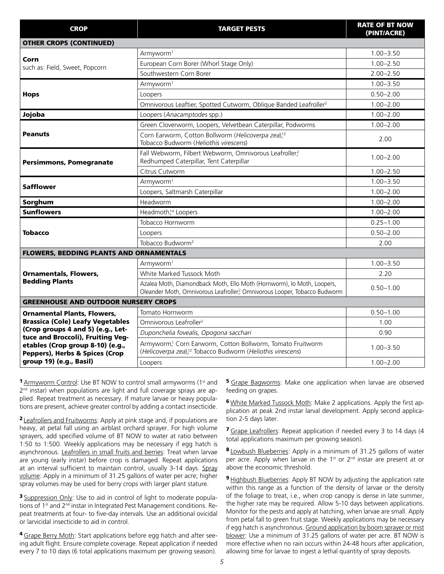| <b>CROP</b>                                                                                                                                                                                                        | <b>TARGET PESTS</b>                                                                                                                                | <b>RATE OF BT NOW</b><br>(PINT/ACRE) |
|--------------------------------------------------------------------------------------------------------------------------------------------------------------------------------------------------------------------|----------------------------------------------------------------------------------------------------------------------------------------------------|--------------------------------------|
| <b>OTHER CROPS (CONTINUED)</b>                                                                                                                                                                                     |                                                                                                                                                    |                                      |
|                                                                                                                                                                                                                    | Armyworm <sup>1</sup>                                                                                                                              | $1.00 - 3.50$                        |
| Corn<br>such as: Field, Sweet, Popcorn                                                                                                                                                                             | European Corn Borer (Whorl Stage Only)                                                                                                             | $1.00 - 2.50$                        |
|                                                                                                                                                                                                                    | Southwestern Corn Borer                                                                                                                            | $2.00 - 2.50$                        |
|                                                                                                                                                                                                                    | Armyworm <sup>1</sup>                                                                                                                              | $1.00 - 3.50$                        |
| <b>Hops</b>                                                                                                                                                                                                        | Loopers                                                                                                                                            | $0.50 - 2.00$                        |
|                                                                                                                                                                                                                    | Omnivorous Leaftier, Spotted Cutworm, Oblique Banded Leafroller <sup>2</sup>                                                                       | $1.00 - 2.00$                        |
| Jojoba                                                                                                                                                                                                             | Loopers (Anacamptodes spp.)                                                                                                                        | $1.00 - 2.00$                        |
|                                                                                                                                                                                                                    | Green Cloverworm, Loopers, Velvetbean Caterpillar, Podworms                                                                                        | $1.00 - 2.00$                        |
| <b>Peanuts</b>                                                                                                                                                                                                     | Corn Earworm, Cotton Bollworm (Helicoverpa zea), <sup>12</sup><br>Tobacco Budworm (Heliothis virescens)                                            | 2.00                                 |
| <b>Persimmons, Pomegranate</b>                                                                                                                                                                                     | Fall Webworm, Filbert Webworm, Omnivorous Leafroller?<br>Redhumped Caterpillar, Tent Caterpillar                                                   | $1.00 - 2.00$                        |
|                                                                                                                                                                                                                    | Citrus Cutworm                                                                                                                                     | $1.00 - 2.50$                        |
| <b>Safflower</b>                                                                                                                                                                                                   | Armyworm <sup>1</sup>                                                                                                                              | $1.00 - 3.50$                        |
|                                                                                                                                                                                                                    | Loopers, Saltmarsh Caterpillar                                                                                                                     | $1.00 - 2.00$                        |
| Sorghum                                                                                                                                                                                                            | Headworm                                                                                                                                           | $1.00 - 2.00$                        |
| <b>Sunflowers</b>                                                                                                                                                                                                  | Headmoth, <sup>14</sup> Loopers                                                                                                                    | $1.00 - 2.00$                        |
|                                                                                                                                                                                                                    | Tobacco Hornworm                                                                                                                                   | $0.25 - 1.00$                        |
| <b>Tobacco</b>                                                                                                                                                                                                     | Loopers                                                                                                                                            | $0.50 - 2.00$                        |
|                                                                                                                                                                                                                    | Tobacco Budworm <sup>3</sup>                                                                                                                       | 2.00                                 |
| <b>FLOWERS, BEDDING PLANTS AND ORNAMENTALS</b>                                                                                                                                                                     |                                                                                                                                                    |                                      |
|                                                                                                                                                                                                                    | Armyworm <sup>1</sup>                                                                                                                              | $1.00 - 3.50$                        |
| <b>Ornamentals, Flowers,</b>                                                                                                                                                                                       | White Marked Tussock Moth                                                                                                                          | 2.20                                 |
| <b>Bedding Plants</b>                                                                                                                                                                                              | Azalea Moth, Diamondback Moth, Ello Moth (Hornworm), Io Moth, Loopers,<br>Oleander Moth, Omnivorous Leafroller? Omnivorous Looper, Tobacco Budworm | $0.50 - 1.00$                        |
| <b>GREENHOUSE AND OUTDOOR NURSERY CROPS</b>                                                                                                                                                                        |                                                                                                                                                    |                                      |
| <b>Ornamental Plants, Flowers,</b>                                                                                                                                                                                 | Tomato Hornworm                                                                                                                                    | $0.50 - 1.00$                        |
| <b>Brassica (Cole) Leafy Vegetables</b><br>(Crop groups 4 and 5) (e.g., Let-<br>tuce and Broccoli), Fruiting Veg-<br>etables (Crop group 8-10) (e.g.,<br>Peppers), Herbs & Spices (Crop<br>group 19) (e.g., Basil) | Omnivorous Leafroller <sup>2</sup>                                                                                                                 | 1.00                                 |
|                                                                                                                                                                                                                    | Duponchelia fovealis, Opogona sacchari                                                                                                             | 0.90                                 |
|                                                                                                                                                                                                                    | Armyworm, <sup>1</sup> Corn Earworm, Cotton Bollworm, Tomato Fruitworm<br>(Helicoverpa zea), <sup>12</sup> Tobacco Budworm (Heliothis virescens)   | $1.00 - 3.50$                        |
|                                                                                                                                                                                                                    | Loopers                                                                                                                                            | $1.00 - 2.00$                        |

**1** Armyworm Control: Use BT NOW to control small armyworms (1st and 2<sup>nd</sup> instar) when populations are light and full coverage sprays are applied. Repeat treatment as necessary. If mature larvae or heavy populations are present, achieve greater control by adding a contact insecticide.

**2** Leafrollers and Fruitworms: Apply at pink stage and, if populations are heavy, at petal fall using an airblast orchard sprayer. For high volume sprayers, add specified volume of BT NOW to water at ratio between 1:50 to 1:500. Weekly applications may be necessary if egg hatch is asynchronous. Leafrollers in small fruits and berries: Treat when larvae are young (early instar) before crop is damaged. Repeat applications at an interval sufficient to maintain control, usually 3-14 days. Spray volume: Apply in a minimum of 31.25 gallons of water per acre; higher spray volumes may be used for berry crops with larger plant stature.

**3** Suppression Only: Use to aid in control of light to moderate populations of 1<sup>st</sup> and 2<sup>nd</sup> instar in Integrated Pest Management conditions. Repeat treatments at four- to five-day intervals. Use an additional ovicidal or larvicidal insecticide to aid in control.

<sup>4</sup> Grape Berry Moth: Start applications before egg hatch and after seeing adult flight. Ensure complete coverage. Repeat application if needed every 7 to 10 days (6 total applications maximum per growing season).

**5** Grape Bagworms: Make one application when larvae are observed feeding on grapes.

<sup>6</sup> White Marked Tussock Moth: Make 2 applications. Apply the first application at peak 2nd instar larval development. Apply second application 2-5 days later.

**7** Grape Leafrollers: Repeat application if needed every 3 to 14 days (4 total applications maximum per growing season).

8 Lowbush Blueberries: Apply in a minimum of 31.25 gallons of water per acre. Apply when larvae in the 1<sup>st</sup> or 2<sup>nd</sup> instar are present at or above the economic threshold.

**9** Highbush Blueberries: Apply BT NOW by adjusting the application rate within this range as a function of the density of larvae or the density of the foliage to treat, i.e., when crop canopy is dense in late summer, the higher rate may be required. Allow 5-10 days between applications. Monitor for the pests and apply at hatching, when larvae are small. Apply from petal fall to green fruit stage. Weekly applications may be necessary if egg hatch is asynchronous. Ground application by boom sprayer or mist blower: Use a minimum of 31.25 gallons of water per acre. BT NOW is more effective when no rain occurs within 24-48 hours after application, allowing time for larvae to ingest a lethal quantity of spray deposits.